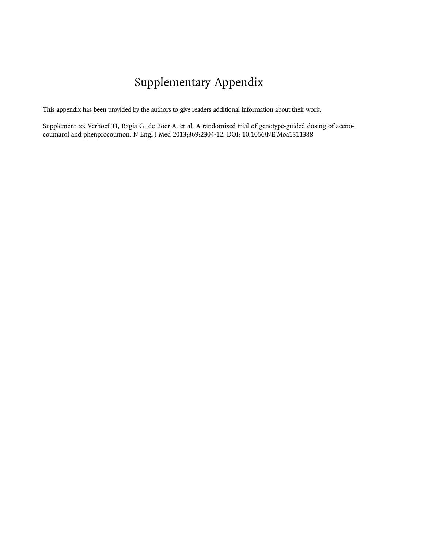# Supplementary Appendix

This appendix has been provided by the authors to give readers additional information about their work.

Supplement to: Verhoef TI, Ragia G, de Boer A, et al. A randomized trial of genotype-guided dosing of acenocoumarol and phenprocoumon. N Engl J Med 2013;369:2304-12. DOI: 10.1056/NEJMoa1311388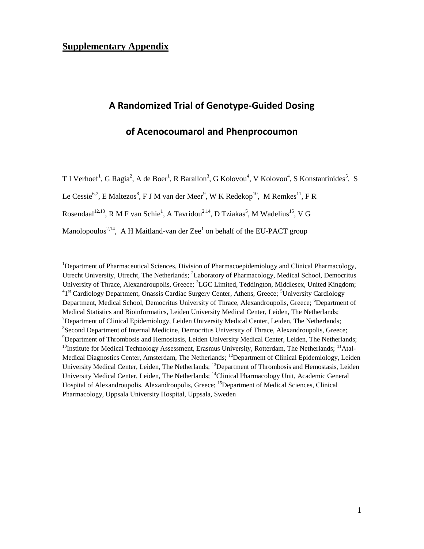# **Supplementary Appendix**

# **A Randomized Trial of Genotype-Guided Dosing**

## **of Acenocoumarol and Phenprocoumon**

T I Verhoef<sup>1</sup>, G Ragia<sup>2</sup>, A de Boer<sup>1</sup>, R Barallon<sup>3</sup>, G Kolovou<sup>4</sup>, V Kolovou<sup>4</sup>, S Konstantinides<sup>5</sup>, S

Le Cessie<sup>6,7</sup>, E Maltezos<sup>8</sup>, F J M van der Meer<sup>9</sup>, W K Redekop<sup>10</sup>, M Remkes<sup>11</sup>, F R

Rosendaal<sup>12,13</sup>, R M F van Schie<sup>1</sup>, A Tavridou<sup>2,14</sup>, D Tziakas<sup>5</sup>, M Wadelius<sup>15</sup>, V G

Manolopoulos<sup>2,14</sup>, A H Maitland-van der Zee<sup>1</sup> on behalf of the EU-PACT group

<sup>1</sup>Department of Pharmaceutical Sciences, Division of Pharmacoepidemiology and Clinical Pharmacology, Utrecht University, Utrecht, The Netherlands; <sup>2</sup>Laboratory of Pharmacology, Medical School, Democritus University of Thrace, Alexandroupolis, Greece; <sup>3</sup>LGC Limited, Teddington, Middlesex, United Kingdom; <sup>4</sup>1<sup>st</sup> Cardiology Department, Onassis Cardiac Surgery Center, Athens, Greece; <sup>5</sup>University Cardiology Department, Medical School, Democritus University of Thrace, Alexandroupolis, Greece; <sup>6</sup>Department of Medical Statistics and Bioinformatics, Leiden University Medical Center, Leiden, The Netherlands;  $<sup>7</sup>$ Department of Clinical Epidemiology, Leiden University Medical Center, Leiden, The Netherlands;</sup> <sup>8</sup> Second Department of Internal Medicine, Democritus University of Thrace, Alexandroupolis, Greece;  $9$ Department of Thrombosis and Hemostasis, Leiden University Medical Center, Leiden, The Netherlands;  $10$ Institute for Medical Technology Assessment, Erasmus University, Rotterdam, The Netherlands;  $11$ Atal-Medical Diagnostics Center, Amsterdam, The Netherlands; <sup>12</sup>Department of Clinical Epidemiology, Leiden University Medical Center, Leiden, The Netherlands; <sup>13</sup>Department of Thrombosis and Hemostasis, Leiden University Medical Center, Leiden, The Netherlands; <sup>14</sup>Clinical Pharmacology Unit, Academic General Hospital of Alexandroupolis, Alexandroupolis, Greece; <sup>15</sup>Department of Medical Sciences, Clinical Pharmacology, Uppsala University Hospital, Uppsala, Sweden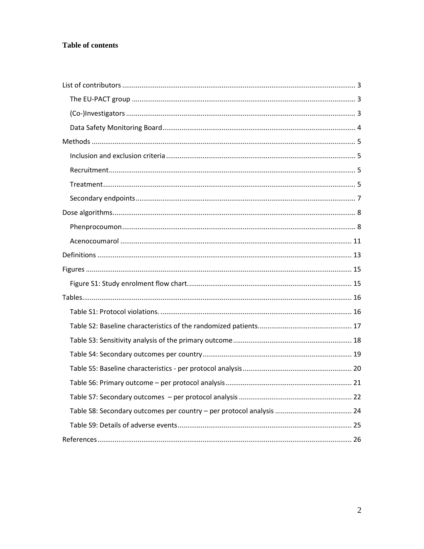## Table of contents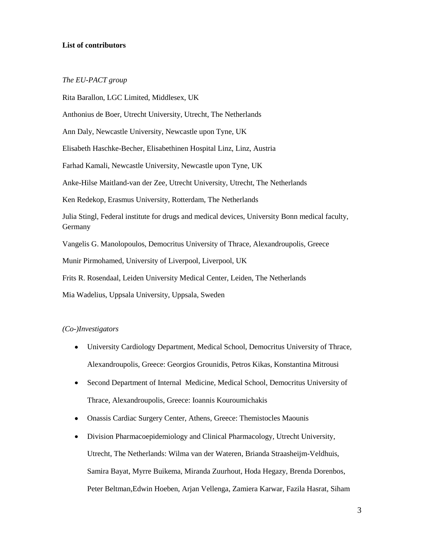#### <span id="page-3-0"></span>**List of contributors**

#### <span id="page-3-1"></span>*The EU-PACT group*

Rita Barallon, LGC Limited, Middlesex, UK Anthonius de Boer, Utrecht University, Utrecht, The Netherlands Ann Daly, Newcastle University, Newcastle upon Tyne, UK Elisabeth Haschke-Becher, Elisabethinen Hospital Linz, Linz, Austria Farhad Kamali, Newcastle University, Newcastle upon Tyne, UK Anke-Hilse Maitland-van der Zee, Utrecht University, Utrecht, The Netherlands Ken Redekop, Erasmus University, Rotterdam, The Netherlands Julia Stingl, Federal institute for drugs and medical devices, University Bonn medical faculty, Germany Vangelis G. Manolopoulos, Democritus University of Thrace, Alexandroupolis, Greece Munir Pirmohamed, University of Liverpool, Liverpool, UK Frits R. Rosendaal, Leiden University Medical Center, Leiden, The Netherlands Mia Wadelius, Uppsala University, Uppsala, Sweden

#### <span id="page-3-2"></span>*(Co-)Investigators*

- University Cardiology Department, Medical School, Democritus University of Thrace, Alexandroupolis, Greece: Georgios Grounidis, Petros Kikas, Konstantina Mitrousi
- Second Department of Internal Medicine, Medical School, Democritus University of  $\bullet$ Thrace, Alexandroupolis, Greece: Ioannis Kouroumichakis
- Onassis Cardiac Surgery Center, Athens, Greece: Themistocles Maounis  $\bullet$
- Division Pharmacoepidemiology and Clinical Pharmacology, Utrecht University, Utrecht, The Netherlands: Wilma van der Wateren, Brianda Straasheijm-Veldhuis, Samira Bayat, Myrre Buikema, Miranda Zuurhout, Hoda Hegazy, Brenda Dorenbos, Peter Beltman,Edwin Hoeben, Arjan Vellenga, Zamiera Karwar, Fazila Hasrat, Siham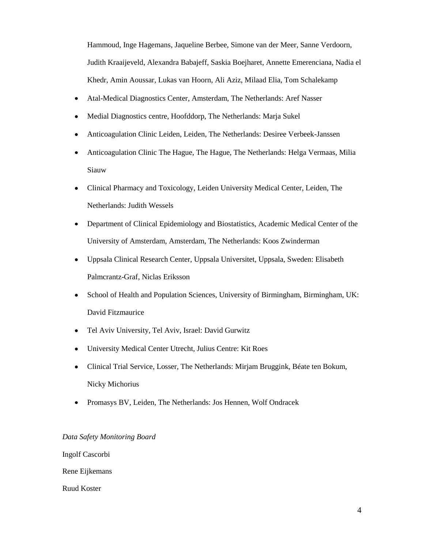Hammoud, Inge Hagemans, Jaqueline Berbee, Simone van der Meer, Sanne Verdoorn, Judith Kraaijeveld, Alexandra Babajeff, Saskia Boejharet, Annette Emerenciana, Nadia el Khedr, Amin Aoussar, Lukas van Hoorn, Ali Aziz, Milaad Elia, Tom Schalekamp

- $\bullet$ Atal-Medical Diagnostics Center, Amsterdam, The Netherlands: Aref Nasser
- Medial Diagnostics centre, Hoofddorp, The Netherlands: Marja Sukel  $\bullet$
- Anticoagulation Clinic Leiden, Leiden, The Netherlands: Desiree Verbeek-Janssen  $\bullet$
- Anticoagulation Clinic The Hague, The Hague, The Netherlands: Helga Vermaas, Milia  $\bullet$ Siauw
- Clinical Pharmacy and Toxicology, Leiden University Medical Center, Leiden, The  $\bullet$ Netherlands: Judith Wessels
- $\bullet$ Department of Clinical Epidemiology and Biostatistics, Academic Medical Center of the University of Amsterdam, Amsterdam, The Netherlands: Koos Zwinderman
- $\bullet$ Uppsala Clinical Research Center, Uppsala Universitet, Uppsala, Sweden: Elisabeth Palmcrantz-Graf, Niclas Eriksson
- School of Health and Population Sciences, University of Birmingham, Birmingham, UK:  $\bullet$ David Fitzmaurice
- $\bullet$ Tel Aviv University, Tel Aviv, Israel: David Gurwitz
- University Medical Center Utrecht, Julius Centre: Kit Roes
- Clinical Trial Service, Losser, The Netherlands: Mirjam Bruggink, Béate ten Bokum, Nicky Michorius
- Promasys BV, Leiden, The Netherlands: Jos Hennen, Wolf Ondracek  $\bullet$

#### <span id="page-4-0"></span>*Data Safety Monitoring Board*

Ingolf Cascorbi

Rene Eijkemans

Ruud Koster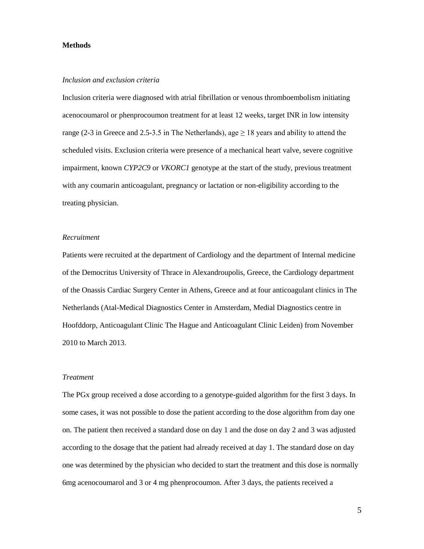#### <span id="page-5-0"></span>**Methods**

#### <span id="page-5-1"></span>*Inclusion and exclusion criteria*

Inclusion criteria were diagnosed with atrial fibrillation or venous thromboembolism initiating acenocoumarol or phenprocoumon treatment for at least 12 weeks, target INR in low intensity range (2-3 in Greece and 2.5-3.5 in The Netherlands), age  $\geq$  18 years and ability to attend the scheduled visits. Exclusion criteria were presence of a mechanical heart valve, severe cognitive impairment, known *CYP2C9* or *VKORC1* genotype at the start of the study, previous treatment with any coumarin anticoagulant, pregnancy or lactation or non-eligibility according to the treating physician.

#### <span id="page-5-2"></span>*Recruitment*

Patients were recruited at the department of Cardiology and the department of Internal medicine of the Democritus University of Thrace in Alexandroupolis, Greece, the Cardiology department of the Onassis Cardiac Surgery Center in Athens, Greece and at four anticoagulant clinics in The Netherlands (Atal-Medical Diagnostics Center in Amsterdam, Medial Diagnostics centre in Hoofddorp, Anticoagulant Clinic The Hague and Anticoagulant Clinic Leiden) from November 2010 to March 2013.

#### <span id="page-5-3"></span>*Treatment*

The PGx group received a dose according to a genotype-guided algorithm for the first 3 days. In some cases, it was not possible to dose the patient according to the dose algorithm from day one on. The patient then received a standard dose on day 1 and the dose on day 2 and 3 was adjusted according to the dosage that the patient had already received at day 1. The standard dose on day one was determined by the physician who decided to start the treatment and this dose is normally 6mg acenocoumarol and 3 or 4 mg phenprocoumon. After 3 days, the patients received a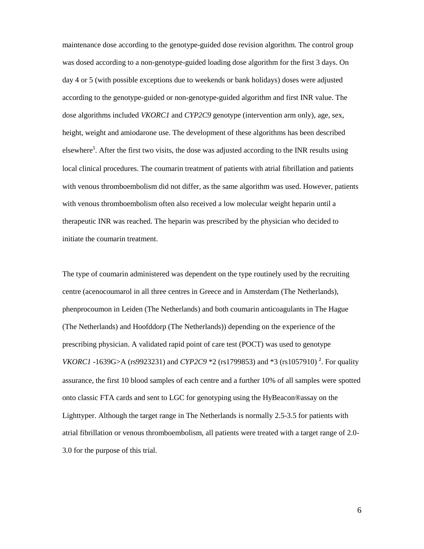maintenance dose according to the genotype-guided dose revision algorithm. The control group was dosed according to a non-genotype-guided loading dose algorithm for the first 3 days. On day 4 or 5 (with possible exceptions due to weekends or bank holidays) doses were adjusted according to the genotype-guided or non-genotype-guided algorithm and first INR value. The dose algorithms included *VKORC1* and *CYP2C9* genotype (intervention arm only), age, sex, height, weight and amiodarone use. The development of these algorithms has been described elsewhere<sup>1</sup>. After the first two visits, the dose was adjusted according to the INR results using local clinical procedures. The coumarin treatment of patients with atrial fibrillation and patients with venous thromboembolism did not differ, as the same algorithm was used. However, patients with venous thromboembolism often also received a low molecular weight heparin until a therapeutic INR was reached. The heparin was prescribed by the physician who decided to initiate the coumarin treatment.

The type of coumarin administered was dependent on the type routinely used by the recruiting centre (acenocoumarol in all three centres in Greece and in Amsterdam (The Netherlands), phenprocoumon in Leiden (The Netherlands) and both coumarin anticoagulants in The Hague (The Netherlands) and Hoofddorp (The Netherlands)) depending on the experience of the prescribing physician. A validated rapid point of care test (POCT) was used to genotype *VKORC1* -1639G>A (rs9923231) and *CYP2C9* \*2 (rs1799853) and \*3 (rs1057910)<sup>2</sup>. For quality assurance, the first 10 blood samples of each centre and a further 10% of all samples were spotted onto classic FTA cards and sent to LGC for genotyping using the HyBeacon®assay on the Lighttyper. Although the target range in The Netherlands is normally 2.5-3.5 for patients with atrial fibrillation or venous thromboembolism, all patients were treated with a target range of 2.0- 3.0 for the purpose of this trial.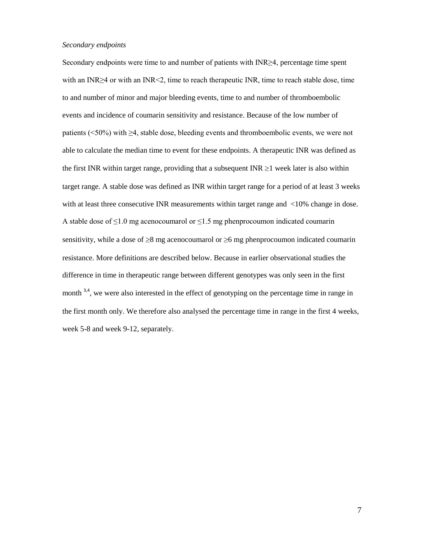#### <span id="page-7-0"></span>*Secondary endpoints*

Secondary endpoints were time to and number of patients with INR≥4, percentage time spent with an INR≥4 or with an INR<2, time to reach therapeutic INR, time to reach stable dose, time to and number of minor and major bleeding events, time to and number of thromboembolic events and incidence of coumarin sensitivity and resistance. Because of the low number of patients (<50%) with ≥4, stable dose, bleeding events and thromboembolic events, we were not able to calculate the median time to event for these endpoints. A therapeutic INR was defined as the first INR within target range, providing that a subsequent INR  $\geq 1$  week later is also within target range. A stable dose was defined as INR within target range for a period of at least 3 weeks with at least three consecutive INR measurements within target range and <10% change in dose. A stable dose of  $\leq 1.0$  mg acenocoumarol or  $\leq 1.5$  mg phenprocoumon indicated coumarin sensitivity, while a dose of  $\geq 8$  mg acenocoumarol or  $\geq 6$  mg phenprocoumon indicated coumarin resistance. More definitions are described below. Because in earlier observational studies the difference in time in therapeutic range between different genotypes was only seen in the first month  $3,4$ , we were also interested in the effect of genotyping on the percentage time in range in the first month only. We therefore also analysed the percentage time in range in the first 4 weeks, week 5-8 and week 9-12, separately.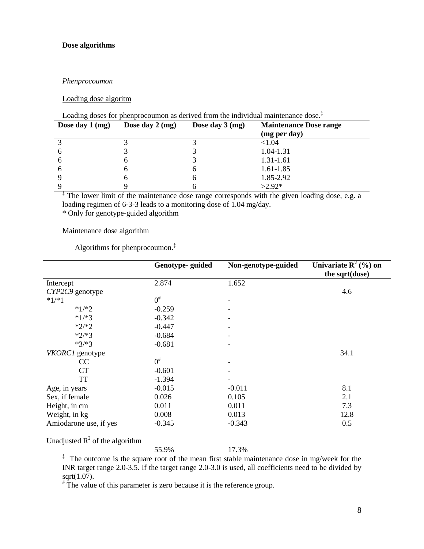#### <span id="page-8-0"></span>**Dose algorithms**

#### <span id="page-8-1"></span>*Phenprocoumon*

#### Loading dose algoritm

## Loading doses for phenprocoumon as derived from the individual maintenance dose.<sup>‡</sup>

| Dose day $1$ (mg) | Dose day $2 \, \text{(mg)}$ | Dose day $3 \, \text{(mg)}$ | <b>Maintenance Dose range</b> |
|-------------------|-----------------------------|-----------------------------|-------------------------------|
|                   |                             |                             | (mg per day)                  |
|                   |                             |                             | ${<}1.04$                     |
| 6                 |                             |                             | 1.04-1.31                     |
| 6                 |                             |                             | 1.31-1.61                     |
| 6                 | h                           |                             | 1.61-1.85                     |
|                   |                             | n                           | 1.85-2.92                     |
|                   |                             |                             | $>2.92*$                      |

<sup>‡</sup> The lower limit of the maintenance dose range corresponds with the given loading dose, e.g. a loading regimen of 6-3-3 leads to a monitoring dose of 1.04 mg/day.

\* Only for genotype-guided algorithm

#### Maintenance dose algorithm

Algorithms for phenprocoumon. ‡

|                                   | Genotype-guided | Non-genotype-guided | Univariate $R^2$ (%) on |
|-----------------------------------|-----------------|---------------------|-------------------------|
|                                   |                 |                     | the sqrt(dose)          |
| Intercept                         | 2.874           | 1.652               |                         |
| CYP2C9 genotype                   |                 |                     | 4.6                     |
| $*1/*1$                           | $0^{\#}$        |                     |                         |
| $*1/*2$                           | $-0.259$        |                     |                         |
| $*1/*3$                           | $-0.342$        |                     |                         |
| $*2/*2$                           | $-0.447$        |                     |                         |
| $*2/*3$                           | $-0.684$        |                     |                         |
| $*3/*3$                           | $-0.681$        |                     |                         |
| VKORC1 genotype                   |                 |                     | 34.1                    |
| CC                                | $0^{\#}$        |                     |                         |
| <b>CT</b>                         | $-0.601$        |                     |                         |
| <b>TT</b>                         | $-1.394$        |                     |                         |
| Age, in years                     | $-0.015$        | $-0.011$            | 8.1                     |
| Sex, if female                    | 0.026           | 0.105               | 2.1                     |
| Height, in cm                     | 0.011           | 0.011               | 7.3                     |
| Weight, in kg                     | 0.008           | 0.013               | 12.8                    |
| Amiodarone use, if yes            | $-0.345$        | $-0.343$            | 0.5                     |
| Unadjusted $R^2$ of the algorithm |                 |                     |                         |
|                                   | 55.9%           | 17.3%               |                         |

<sup>‡</sup> The outcome is the square root of the mean first stable maintenance dose in mg/week for the INR target range 2.0-3.5. If the target range 2.0-3.0 is used, all coefficients need to be divided by sqrt(1.07).

# The value of this parameter is zero because it is the reference group.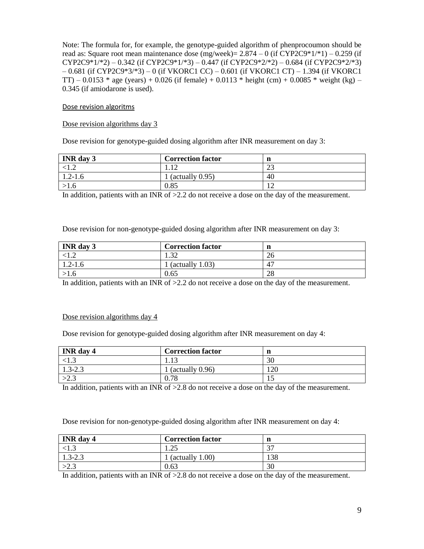Note: The formula for, for example, the genotype-guided algorithm of phenprocoumon should be read as: Square root mean maintenance dose (mg/week) =  $2.874 - 0$  (if CYP2C9\*1/\*1) – 0.259 (if  $CYP2C9*1/*2$ ) – 0.342 (if  $CYP2C9*1/*3$ ) – 0.447 (if  $CYP2C9*2/*2$ ) – 0.684 (if  $CYP2C9*2/*3$ ) – 0.681 (if CYP2C9\*3/\*3) – 0 (if VKORC1 CC) – 0.601 (if VKORC1 CT) – 1.394 (if VKORC1 TT) – 0.0153 \* age (years) + 0.026 (if female) + 0.0113 \* height (cm) + 0.0085 \* weight (kg) – 0.345 (if amiodarone is used).

## Dose revision algoritms

## Dose revision algorithms day 3

Dose revision for genotype-guided dosing algorithm after INR measurement on day 3:

| <b>INR</b> day 3 | <b>Correction factor</b>  | n            |
|------------------|---------------------------|--------------|
|                  |                           | $\sim$<br>رے |
| $1.2 - 1.6$      | $(\text{actually } 0.95)$ | 40           |
|                  | 0.85                      |              |

In addition, patients with an INR of  $>2.2$  do not receive a dose on the day of the measurement.

Dose revision for non-genotype-guided dosing algorithm after INR measurement on day 3:

| <b>INR</b> day 3 | <b>Correction factor</b>  | n  |
|------------------|---------------------------|----|
|                  | $\Omega$<br>ے ر           | 26 |
| $1.2 - 1.6$      | $(\text{actually } 1.03)$ | 4  |
|                  | 0.65                      | 28 |

In addition, patients with an INR of  $>2.2$  do not receive a dose on the day of the measurement.

#### Dose revision algorithms day 4

Dose revision for genotype-guided dosing algorithm after INR measurement on day 4:

| <b>INR</b> day 4 | <b>Correction factor</b>  | n   |
|------------------|---------------------------|-----|
|                  | 1.15                      | 30  |
| $1.3 - 2.3$      | $(\text{actually } 0.96)$ | 120 |
| >2.3             | 0.78                      |     |

In addition, patients with an INR of  $>2.8$  do not receive a dose on the day of the measurement.

| Dose revision for non-genotype-guided dosing algorithm after INR measurement on day 4: |  |
|----------------------------------------------------------------------------------------|--|
|                                                                                        |  |

| <b>INR</b> day 4 | <b>Correction factor</b>  |     |
|------------------|---------------------------|-----|
|                  | .25<br>1.40               |     |
| $1.3 - 2.3$      | $(\text{actually } 1.00)$ | 138 |
| >2.3             | 0.63                      | 30  |

In addition, patients with an INR of  $>2.8$  do not receive a dose on the day of the measurement.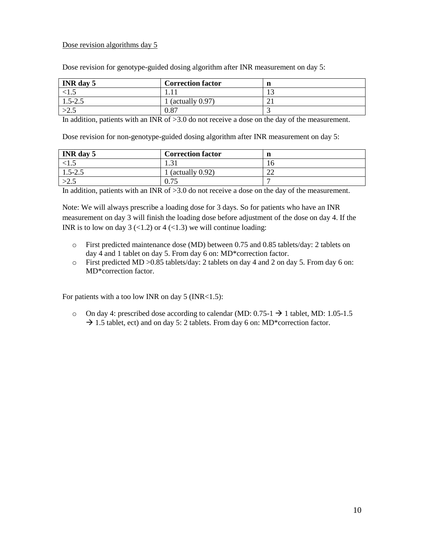#### Dose revision algorithms day 5

Dose revision for genotype-guided dosing algorithm after INR measurement on day 5:

| <b>INR</b> day 5 | <b>Correction factor</b>  | n   |
|------------------|---------------------------|-----|
| \ 1 .J           |                           | ⊥ື  |
| $1.5 - 2.5$      | $(\text{actually } 0.97)$ | ∠ ⊥ |
| ر ۷              | 0.87                      |     |

In addition, patients with an INR of >3.0 do not receive a dose on the day of the measurement.

Dose revision for non-genotype-guided dosing algorithm after INR measurement on day 5:

| <b>INR</b> day 5 | <b>Correction factor</b> | n        |
|------------------|--------------------------|----------|
|                  | 1.J 1                    | ⊥O.      |
| $1.5 - 2.5$      | 1 (actually $0.92$ )     | ΩΩ<br>∠∠ |
| ۔ ۔ ے            | $\Omega$ 74<br>V. 7J     |          |

In addition, patients with an INR of >3.0 do not receive a dose on the day of the measurement.

Note: We will always prescribe a loading dose for 3 days. So for patients who have an INR measurement on day 3 will finish the loading dose before adjustment of the dose on day 4. If the INR is to low on day 3  $\left($  < 1.2) or 4  $\left($  < 1.3) we will continue loading:

- o First predicted maintenance dose (MD) between 0.75 and 0.85 tablets/day: 2 tablets on day 4 and 1 tablet on day 5. From day 6 on: MD\*correction factor.
- o First predicted MD >0.85 tablets/day: 2 tablets on day 4 and 2 on day 5. From day 6 on: MD\*correction factor.

For patients with a too low INR on day  $5$  (INR<1.5):

 $\circ$  On day 4: prescribed dose according to calendar (MD: 0.75-1  $\rightarrow$  1 tablet, MD: 1.05-1.5  $\rightarrow$  1.5 tablet, ect) and on day 5: 2 tablets. From day 6 on: MD\*correction factor.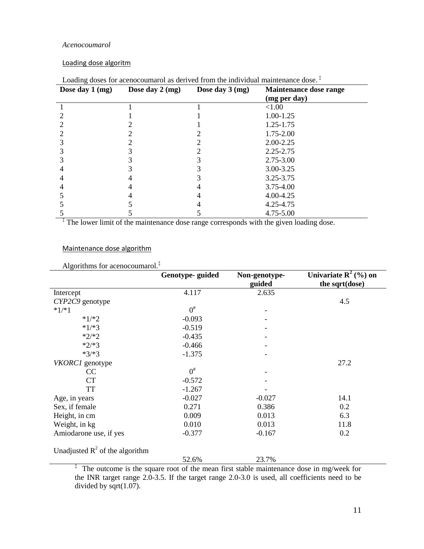#### <span id="page-11-0"></span>*Acenocoumarol*

#### Loading dose algoritm

| Dose day 1 (mg) | Dose day 2 (mg) | Dose day $3 \, \text{(mg)}$ | Maintenance dose range<br>(mg per day) |
|-----------------|-----------------|-----------------------------|----------------------------------------|
|                 |                 |                             | < 1.00                                 |
|                 |                 |                             | 1.00-1.25                              |
|                 |                 |                             | 1.25-1.75                              |
|                 |                 |                             | 1.75-2.00                              |
|                 |                 |                             | $2.00 - 2.25$                          |
|                 |                 |                             | 2.25-2.75                              |
|                 |                 |                             | 2.75-3.00                              |
|                 |                 |                             | 3.00-3.25                              |
|                 |                 |                             | 3.25-3.75                              |
|                 |                 |                             | $3.75 - 4.00$                          |
|                 |                 |                             | 4.00-4.25                              |
|                 |                 |                             | 4.25-4.75                              |
|                 |                 |                             | 4.75-5.00                              |

# Loading doses for acenocoumarol as derived from the individual maintenance dose.<sup>‡</sup>

‡ The lower limit of the maintenance dose range corresponds with the given loading dose.

## Maintenance dose algorithm

## Algorithms for acenocoumarol.<sup>‡</sup>

|                                                                                         | Genotype-guided | Non-genotype- | Univariate $\mathbb{R}^2$ (%) on |  |
|-----------------------------------------------------------------------------------------|-----------------|---------------|----------------------------------|--|
|                                                                                         |                 | guided        | the sqrt(dose)                   |  |
| Intercept                                                                               | 4.117           | 2.635         |                                  |  |
| CYP2C9 genotype                                                                         |                 |               | 4.5                              |  |
| $*1/*1$                                                                                 | $0^{\#}$        |               |                                  |  |
| $*1/*2$                                                                                 | $-0.093$        |               |                                  |  |
| $*1/*3$                                                                                 | $-0.519$        |               |                                  |  |
| $*2/*2$                                                                                 | $-0.435$        |               |                                  |  |
| $*2/*3$                                                                                 | $-0.466$        |               |                                  |  |
| $*3/*3$                                                                                 | $-1.375$        |               |                                  |  |
| VKORC1 genotype                                                                         |                 |               | 27.2                             |  |
| CC                                                                                      | $0^{\#}$        |               |                                  |  |
| CT                                                                                      | $-0.572$        |               |                                  |  |
| <b>TT</b>                                                                               | $-1.267$        |               |                                  |  |
| Age, in years                                                                           | $-0.027$        | $-0.027$      | 14.1                             |  |
| Sex, if female                                                                          | 0.271           | 0.386         | 0.2                              |  |
| Height, in cm                                                                           | 0.009           | 0.013         | 6.3                              |  |
| Weight, in kg                                                                           | 0.010           | 0.013         | 11.8                             |  |
| Amiodarone use, if yes                                                                  | $-0.377$        | $-0.167$      | 0.2                              |  |
| Unadjusted $R^2$ of the algorithm                                                       |                 |               |                                  |  |
|                                                                                         | 52.6%           | 23.7%         |                                  |  |
| The outcome is the square root of the mean first stable maintenance dose in mg/week for |                 |               |                                  |  |

the INR target range 2.0-3.5. If the target range 2.0-3.0 is used, all coefficients need to be divided by sqrt(1.07).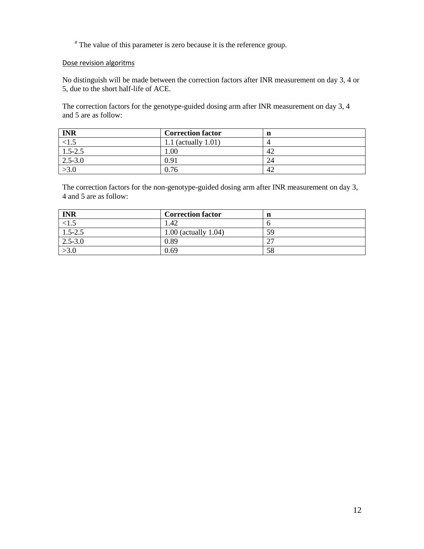# The value of this parameter is zero because it is the reference group.

#### Dose revision algoritms

No distinguish will be made between the correction factors after INR measurement on day 3, 4 or 5, due to the short half-life of ACE.

The correction factors for the genotype-guided dosing arm after INR measurement on day 3, 4 and 5 are as follow:

| <b>INR</b>  | <b>Correction factor</b> | n  |
|-------------|--------------------------|----|
| $-1.5$      | 1.1 (actually $1.01$ )   |    |
| $1.5 - 2.5$ | 1.00                     | 42 |
| $2.5 - 3.0$ | 0.91                     | 24 |
| >3.0        | 0.76                     | 42 |

The correction factors for the non-genotype-guided dosing arm after INR measurement on day 3, 4 and 5 are as follow:

| <b>INR</b>  | <b>Correction factor</b>  | n       |
|-------------|---------------------------|---------|
| $-1.5$      | 1.42                      |         |
| $1.5 - 2.5$ | $1.00$ (actually $1.04$ ) | 59      |
| $2.5 - 3.0$ | 0.89                      | ^¬<br>∠ |
| >3.0        | 0.69                      | 58      |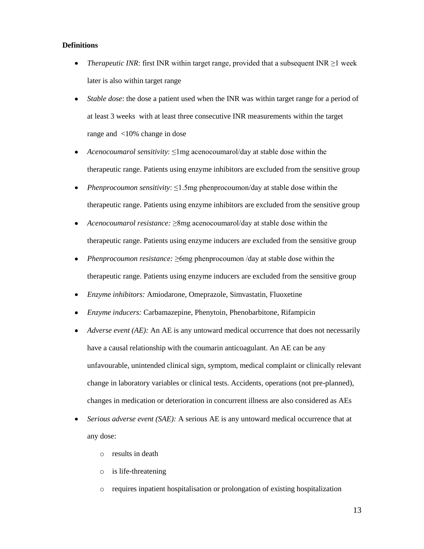#### <span id="page-13-0"></span>**Definitions**

- *Therapeutic INR*: first INR within target range, provided that a subsequent INR  $\geq$ 1 week  $\bullet$ later is also within target range
- *Stable dose*: the dose a patient used when the INR was within target range for a period of  $\bullet$ at least 3 weeks with at least three consecutive INR measurements within the target range and <10% change in dose
- *Acenocoumarol sensitivity*: ≤1mg acenocoumarol/day at stable dose within the  $\bullet$ therapeutic range. Patients using enzyme inhibitors are excluded from the sensitive group
- $\bullet$ *Phenprocoumon sensitivity*: ≤1.5mg phenprocoumon/day at stable dose within the therapeutic range. Patients using enzyme inhibitors are excluded from the sensitive group
- *Acenocoumarol resistance:* ≥8mg acenocoumarol/day at stable dose within the therapeutic range. Patients using enzyme inducers are excluded from the sensitive group
- *Phenprocoumon resistance:* ≥6mg phenprocoumon /day at stable dose within the therapeutic range. Patients using enzyme inducers are excluded from the sensitive group
- *Enzyme inhibitors:* Amiodarone, Omeprazole, Simvastatin, Fluoxetine
- *Enzyme inducers:* Carbamazepine, Phenytoin, Phenobarbitone, Rifampicin
- $\bullet$ *Adverse event (AE):* An AE is any untoward medical occurrence that does not necessarily have a causal relationship with the coumarin anticoagulant. An AE can be any unfavourable, unintended clinical sign, symptom, medical complaint or clinically relevant change in laboratory variables or clinical tests. Accidents, operations (not pre-planned), changes in medication or deterioration in concurrent illness are also considered as AEs
- *Serious adverse event (SAE):* A serious AE is any untoward medical occurrence that at any dose:
	- o results in death
	- o is life-threatening
	- o requires inpatient hospitalisation or prolongation of existing hospitalization

13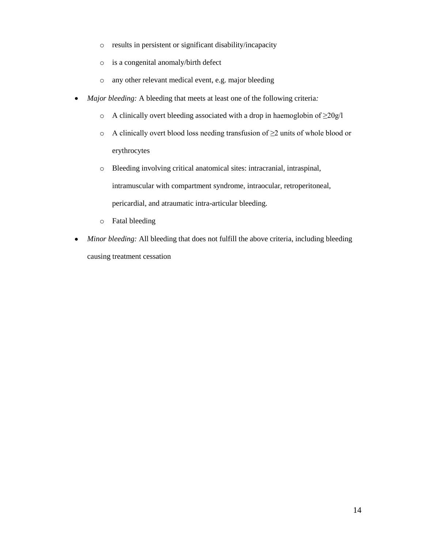- o results in persistent or significant disability/incapacity
- o is a congenital anomaly/birth defect
- o any other relevant medical event, e.g. major bleeding
- $\bullet$ *Major bleeding:* A bleeding that meets at least one of the following criteria*:*
	- o A clinically overt bleeding associated with a drop in haemoglobin of ≥20g/l
	- o A clinically overt blood loss needing transfusion of ≥2 units of whole blood or erythrocytes
	- o Bleeding involving critical anatomical sites: intracranial, intraspinal, intramuscular with compartment syndrome, intraocular, retroperitoneal, pericardial, and atraumatic intra-articular bleeding.
	- o Fatal bleeding
- *Minor bleeding:* All bleeding that does not fulfill the above criteria, including bleeding  $\bullet$ causing treatment cessation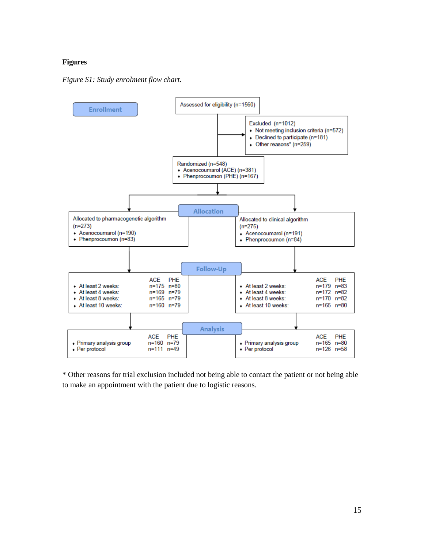#### <span id="page-15-0"></span>**Figures**

<span id="page-15-1"></span>



\* Other reasons for trial exclusion included not being able to contact the patient or not being able to make an appointment with the patient due to logistic reasons.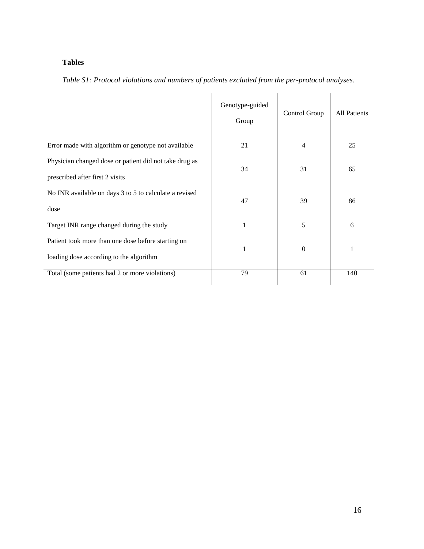# <span id="page-16-0"></span>**Tables**

<span id="page-16-1"></span>

| Table S1: Protocol violations and numbers of patients excluded from the per-protocol analyses. |  |  |  |
|------------------------------------------------------------------------------------------------|--|--|--|
|------------------------------------------------------------------------------------------------|--|--|--|

|                                                                                               | Genotype-guided<br>Group | Control Group    | <b>All Patients</b> |
|-----------------------------------------------------------------------------------------------|--------------------------|------------------|---------------------|
| Error made with algorithm or genotype not available                                           | 21                       | 4                | 25                  |
| Physician changed dose or patient did not take drug as<br>prescribed after first 2 visits     | 34                       | 31               | 65                  |
| No INR available on days 3 to 5 to calculate a revised<br>dose                                | 47                       | 39               | 86                  |
| Target INR range changed during the study                                                     | 1                        | 5                | 6                   |
| Patient took more than one dose before starting on<br>loading dose according to the algorithm | 1                        | $\boldsymbol{0}$ | $\mathbf{1}$        |
| Total (some patients had 2 or more violations)                                                | 79                       | 61               | 140                 |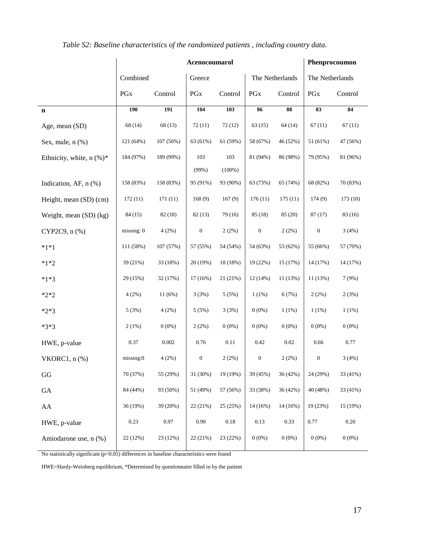|                            |            |           | Acenocoumarol    |           |                  |                 | Phenprocoumon    |          |  |
|----------------------------|------------|-----------|------------------|-----------|------------------|-----------------|------------------|----------|--|
|                            | Combined   |           | Greece           |           |                  | The Netherlands | The Netherlands  |          |  |
|                            | PGx        | Control   | PGx              | Control   | PGx              | Control         | PGx              | Control  |  |
| $\mathbf n$                | <b>190</b> | 191       | 104              | 103       | 86               | 88              | 83               | 84       |  |
| Age, mean (SD)             | 68 (14)    | 68 (13)   | 72(11)           | 72(12)    | 63(15)           | 64(14)          | 67(11)           | 67(11)   |  |
| Sex, male, $n$ $%$         | 121 (64%)  | 107 (56%) | 63 (61%)         | 61 (59%)  | 58 (67%)         | 46 (52%)        | 51 (61%)         | 47 (56%) |  |
| Ethnicity, white, $n$ (%)* | 184 (97%)  | 189 (99%) | 103              | 103       | 81 (94%)         | 86 (98%)        | 79 (95%)         | 81 (96%) |  |
|                            |            |           | (99%)            | $(100\%)$ |                  |                 |                  |          |  |
| Indication, AF, n (%)      | 158 (83%)  | 158 (83%) | 95 (91%)         | 93 (90%)  | 63 (73%)         | 65 (74%)        | 68 (82%)         | 70 (83%) |  |
| Height, mean (SD) (cm)     | 172(11)    | 171(11)   | 168(9)           | 167(9)    | 176(11)          | 175(11)         | 174(9)           | 173(10)  |  |
| Weight, mean (SD) (kg)     | 84 (15)    | 82 (18)   | 82(13)           | 79 (16)   | 85 (18)          | 85 (20)         | 87(17)           | 83 (16)  |  |
| CYP2C9, n (%)              | missing: 0 | 4(2%)     | $\boldsymbol{0}$ | 2(2%)     | $\boldsymbol{0}$ | 2(2%)           | $\boldsymbol{0}$ | 3(4%)    |  |
| $*1*1$                     | 111 (58%)  | 107 (57%) | 57 (55%)         | 54 (54%)  | 54 (63%)         | 53 (62%)        | 55 (66%)         | 57 (70%) |  |
| $*1*2$                     | 39 (21%)   | 33 (18%)  | 20 (19%)         | 18 (18%)  | 19 (22%)         | 15 (17%)        | 14 (17%)         | 14 (17%) |  |
| $*1*3$                     | 29 (15%)   | 32 (17%)  | 17(16%)          | 21 (21%)  | 12 (14%)         | 11 (13%)        | 11 (13%)         | 7(9%)    |  |
| $*2*2$                     | 4(2%)      | 11(6%)    | 3(3%)            | 5(5%)     | 1(1%)            | 6(7%)           | 2(2%)            | 2(3%)    |  |
| $*2*3$                     | 5(3%)      | 4(2%)     | 5(5%)            | 3(3%)     | $0(0\%)$         | $1(1\%)$        | $1(1\%)$         | $1(1\%)$ |  |
| $*3*3$                     | 2(1%)      | $0(0\%)$  | 2(2%)            | $0(0\%)$  | $0(0\%)$         | $0(0\%)$        | $0(0\%)$         | $0(0\%)$ |  |
| HWE, p-value               | 0.37       | 0.002     | 0.76             | $0.11\,$  | 0.42             | $0.02\,$        | 0.66             | 0.77     |  |
| VKORC1, $n$ $%$            | missing:0  | 4(2%)     | $\boldsymbol{0}$ | 2(2%)     | $\boldsymbol{0}$ | 2(2%)           | $\boldsymbol{0}$ | 3(4%)    |  |
| GG                         | 70 (37%)   | 55 (29%)  | 31 (30%)         | 19 (19%)  | 39 (45%)         | 36 (42%)        | 24 (29%)         | 33 (41%) |  |
| GA                         | 84 (44%)   | 93 (50%)  | 51 (49%)         | 57 (56%)  | 33 (38%)         | 36 (42%)        | 40 (48%)         | 33 (41%) |  |
| AA                         | 36 (19%)   | 39 (20%)  | 22 (21%)         | 25 (25%)  | 14 (16%)         | 14 (16%)        | 19 (23%)         | 15 (19%) |  |
| HWE, p-value               | 0.23       | 0.97      | 0.90             | $0.18\,$  | 0.13             | 0.33            | 0.77             | $0.20\,$ |  |
| Amiodarone use, n (%)      | 22 (12%)   | 23 (12%)  | 22 (21%)         | 23 (22%)  | $0(0\%)$         | $0(0\%)$        | $0(0\%)$         | $0(0\%)$ |  |

<span id="page-17-0"></span>*Table S2: Baseline characteristics of the randomized patients , including country data.*

No statistically significant  $(p<0.05)$  differences in baseline characteristics were found

HWE=Hardy-Weinberg equilibrium, \*Determined by questionnaire filled in by the patient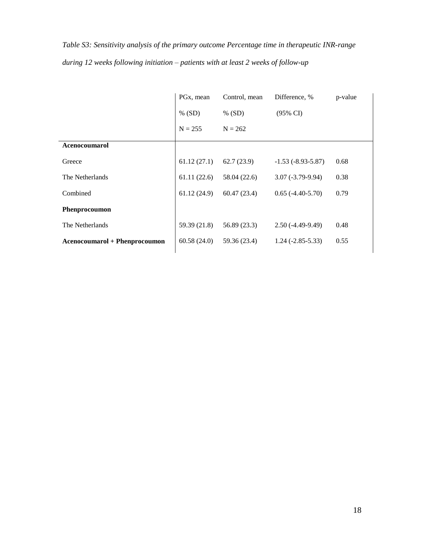<span id="page-18-0"></span>*Table S3: Sensitivity analysis of the primary outcome Percentage time in therapeutic INR-range during 12 weeks following initiation – patients with at least 2 weeks of follow-up*

|                                      | PG <sub>x</sub> , mean | Control, mean | Difference, %         | p-value |
|--------------------------------------|------------------------|---------------|-----------------------|---------|
|                                      | $\%$ (SD)              | $%$ (SD)      | $(95\% \text{ CI})$   |         |
|                                      | $N = 255$              | $N = 262$     |                       |         |
| <b>Acenocoumarol</b>                 |                        |               |                       |         |
| Greece                               | 61.12(27.1)            | 62.7(23.9)    | $-1.53(-8.93-5.87)$   | 0.68    |
| The Netherlands                      | 61.11(22.6)            | 58.04 (22.6)  | $3.07 (-3.79 - 9.94)$ | 0.38    |
| Combined                             | 61.12(24.9)            | 60.47(23.4)   | $0.65(-4.40-5.70)$    | 0.79    |
| Phenprocoumon                        |                        |               |                       |         |
| The Netherlands                      | 59.39 (21.8)           | 56.89 (23.3)  | $2.50(-4.49-9.49)$    | 0.48    |
| <b>Acenocoumarol + Phenprocoumon</b> | 60.58(24.0)            | 59.36 (23.4)  | $1.24 (-2.85 - 5.33)$ | 0.55    |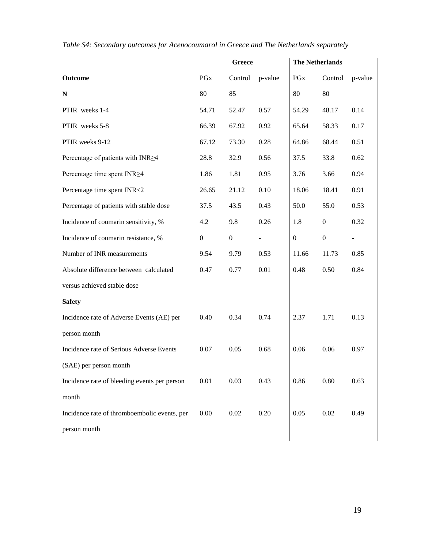|                                              |                | <b>Greece</b>    |                |                | <b>The Netherlands</b> |                          |
|----------------------------------------------|----------------|------------------|----------------|----------------|------------------------|--------------------------|
| <b>Outcome</b>                               | <b>PGx</b>     | Control          | p-value        | PGx            | Control                | p-value                  |
| ${\bf N}$                                    | 80             | 85               |                | 80             | 80                     |                          |
| PTIR weeks 1-4                               | 54.71          | 52.47            | 0.57           | 54.29          | 48.17                  | 0.14                     |
| PTIR weeks 5-8                               | 66.39          | 67.92            | 0.92           | 65.64          | 58.33                  | 0.17                     |
| PTIR weeks 9-12                              | 67.12          | 73.30            | 0.28           | 64.86          | 68.44                  | 0.51                     |
| Percentage of patients with INR>4            | 28.8           | 32.9             | 0.56           | 37.5           | 33.8                   | 0.62                     |
| Percentage time spent INR>4                  | 1.86           | 1.81             | 0.95           | 3.76           | 3.66                   | 0.94                     |
| Percentage time spent INR<2                  | 26.65          | 21.12            | 0.10           | 18.06          | 18.41                  | 0.91                     |
| Percentage of patients with stable dose      | 37.5           | 43.5             | 0.43           | 50.0           | 55.0                   | 0.53                     |
| Incidence of coumarin sensitivity, %         | 4.2            | 9.8              | 0.26           | 1.8            | $\boldsymbol{0}$       | 0.32                     |
| Incidence of coumarin resistance, %          | $\overline{0}$ | $\boldsymbol{0}$ | $\blacksquare$ | $\overline{0}$ | $\boldsymbol{0}$       | $\overline{\phantom{0}}$ |
| Number of INR measurements                   | 9.54           | 9.79             | 0.53           | 11.66          | 11.73                  | 0.85                     |
| Absolute difference between calculated       | 0.47           | 0.77             | 0.01           | 0.48           | 0.50                   | 0.84                     |
| versus achieved stable dose                  |                |                  |                |                |                        |                          |
| <b>Safety</b>                                |                |                  |                |                |                        |                          |
| Incidence rate of Adverse Events (AE) per    | 0.40           | 0.34             | 0.74           | 2.37           | 1.71                   | 0.13                     |
| person month                                 |                |                  |                |                |                        |                          |
| Incidence rate of Serious Adverse Events     | 0.07           | 0.05             | 0.68           | 0.06           | 0.06                   | 0.97                     |
| (SAE) per person month                       |                |                  |                |                |                        |                          |
| Incidence rate of bleeding events per person | 0.01           | 0.03             | 0.43           | 0.86           | 0.80                   | 0.63                     |
| month                                        |                |                  |                |                |                        |                          |
| Incidence rate of thromboembolic events, per | 0.00           | 0.02             | 0.20           | 0.05           | 0.02                   | 0.49                     |
| person month                                 |                |                  |                |                |                        |                          |
|                                              |                |                  |                |                |                        |                          |

<span id="page-19-0"></span>*Table S4: Secondary outcomes for Acenocoumarol in Greece and The Netherlands separately*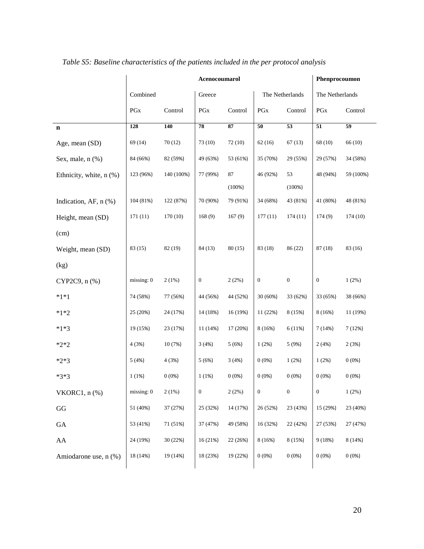|                            |            |            | Acenocoumarol    |              |                  |                  | Phenprocoumon    |                 |
|----------------------------|------------|------------|------------------|--------------|------------------|------------------|------------------|-----------------|
|                            | Combined   |            | Greece           |              |                  | The Netherlands  | The Netherlands  |                 |
|                            | PGx        | Control    | PGx              | Control      | PGx              | Control          | PGx              | Control         |
| $\mathbf n$                | 128        | 140        | 78               | 87           | 50               | 53               | 51               | $\overline{59}$ |
| Age, mean (SD)             | 69 (14)    | 70(12)     | 73(10)           | 72(10)       | 62(16)           | 67(13)           | 68 (10)          | 66 (10)         |
| Sex, male, $n$ $(\%)$      | 84 (66%)   | 82 (59%)   | 49 (63%)         | 53 (61%)     | 35 (70%)         | 29 (55%)         | 29 (57%)         | 34 (58%)        |
| Ethnicity, white, n (%)    | 123 (96%)  | 140 (100%) | 77 (99%)         | 87<br>(100%) | 46 (92%)         | 53<br>(100%)     | 48 (94%)         | 59 (100%)       |
| Indication, AF, $n$ $(\%)$ | 104 (81%)  | 122 (87%)  | 70 (90%)         | 79 (91%)     | 34 (68%)         | 43 (81%)         | 41 (80%)         | 48 (81%)        |
| Height, mean (SD)          | 171(11)    | 170 (10)   | 168(9)           | 167(9)       | 177(11)          | 174(11)          | 174(9)           | 174(10)         |
| (cm)                       |            |            |                  |              |                  |                  |                  |                 |
| Weight, mean (SD)          | 83(15)     | 82 (19)    | 84 (13)          | 80(15)       | 83 (18)          | 86 (22)          | 87 (18)          | 83 (16)         |
| (kg)                       |            |            |                  |              |                  |                  |                  |                 |
| CYP2C9, n (%)              | missing: 0 | 2(1%)      | $\boldsymbol{0}$ | 2(2%)        | $\boldsymbol{0}$ | $\boldsymbol{0}$ | $\boldsymbol{0}$ | 1(2%)           |
| $*1*1$                     | 74 (58%)   | 77 (56%)   | 44 (56%)         | 44 (52%)     | 30(60%)          | 33 (62%)         | 33 (65%)         | 38 (66%)        |
| $*1*2$                     | 25 (20%)   | 24 (17%)   | 14 (18%)         | 16 (19%)     | 11 (22%)         | 8 (15%)          | 8(16%)           | 11 (19%)        |
| $*1*3$                     | 19 (15%)   | 23 (17%)   | 11(14%)          | 17 (20%)     | 8(16%)           | 6(11%)           | 7(14%)           | 7(12%)          |
| $*2*2$                     | 4(3%)      | 10 (7%)    | 3(4%)            | 5(6%)        | 1(2%)            | 5 (9%)           | 2(4%)            | 2(3%)           |
| $*2*3$                     | 5(4%)      | 4(3%)      | 5(6%)            | 3(4%)        | 0(0%             | 1(2%)            | 1(2%)            | 0(0%)           |
| $*3*3$                     | 1(1%)      | 0(0%       | 1(1%)            | 0(0%         | $0(0\%)$         | 0(0%             | 0(0%             | 0(0%)           |
| VKORC1, $n$ $%$            | missing: 0 | 2(1%)      | $\boldsymbol{0}$ | 2(2%)        | $\boldsymbol{0}$ | $\boldsymbol{0}$ | $\boldsymbol{0}$ | 1(2%)           |
| GG                         | 51 (40%)   | 37 (27%)   | 25 (32%)         | 14 (17%)     | 26 (52%)         | 23 (43%)         | 15 (29%)         | 23 (40%)        |
| GA                         | 53 (41%)   | 71 (51%)   | 37 (47%)         | 49 (58%)     | 16 (32%)         | 22 (42%)         | 27 (53%)         | 27 (47%)        |
| ${\rm AA}$                 | 24 (19%)   | 30 (22%)   | 16 (21%)         | 22 (26%)     | 8(16%)           | 8 (15%)          | 9(18%)           | 8 (14%)         |
| Amiodarone use, n (%)      | 18 (14%)   | 19 (14%)   | 18 (23%)         | 19 (22%)     | 0(0%)            | 0(0%)            | 0(0%)            | 0(0%)           |

<span id="page-20-0"></span>*Table S5: Baseline characteristics of the patients included in the per protocol analysis*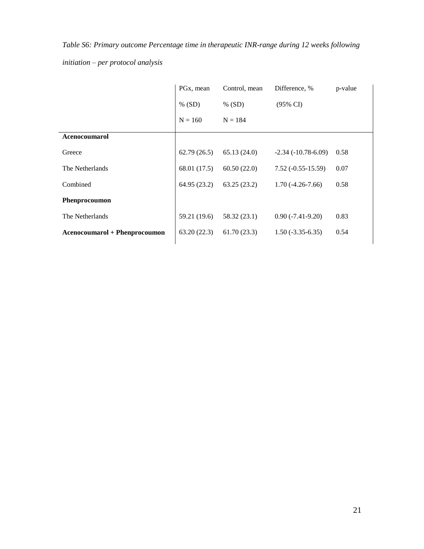<span id="page-21-0"></span>*Table S6: Primary outcome Percentage time in therapeutic INR-range during 12 weeks following* 

*initiation – per protocol analysis*

|                                      | PG <sub>x</sub> , mean | Control, mean | Difference, %        | p-value |
|--------------------------------------|------------------------|---------------|----------------------|---------|
|                                      | % (SD)                 | % (SD)        | $(95\% \text{ CI})$  |         |
|                                      | $N = 160$              | $N = 184$     |                      |         |
| <b>Acenocoumarol</b>                 |                        |               |                      |         |
| Greece                               | 62.79(26.5)            | 65.13(24.0)   | $-2.34(-10.78-6.09)$ | 0.58    |
| The Netherlands                      | 68.01 (17.5)           | 60.50(22.0)   | $7.52(-0.55-15.59)$  | 0.07    |
| Combined                             | 64.95 (23.2)           | 63.25(23.2)   | $1.70(-4.26-7.66)$   | 0.58    |
| <b>Phenprocoumon</b>                 |                        |               |                      |         |
| The Netherlands                      | 59.21 (19.6)           | 58.32 (23.1)  | $0.90(-7.41-9.20)$   | 0.83    |
| <b>Acenocoumarol + Phenprocoumon</b> | 63.20(22.3)            | 61.70(23.3)   | $1.50(-3.35-6.35)$   | 0.54    |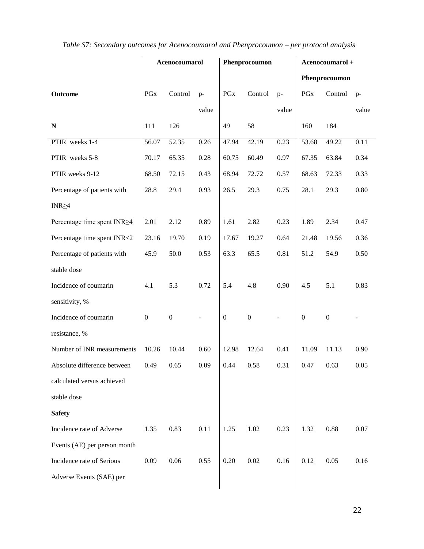|                              |              | Acenocoumarol    |                          |                  | Phenprocoumon    |       |                  | Acenocoumarol +  |          |  |
|------------------------------|--------------|------------------|--------------------------|------------------|------------------|-------|------------------|------------------|----------|--|
|                              |              |                  |                          |                  |                  |       | Phenprocoumon    |                  |          |  |
| Outcome                      | <b>PGx</b>   | Control          | $p-$                     | <b>PGx</b>       | Control          | $p-$  | <b>PGx</b>       | Control          | $p-$     |  |
|                              |              |                  | value                    |                  |                  | value |                  |                  | value    |  |
| $\mathbf N$                  | 111          | 126              |                          | 49               | 58               |       | 160              | 184              |          |  |
| PTIR weeks 1-4               | 56.07        | 52.35            | 0.26                     | 47.94            | 42.19            | 0.23  | 53.68            | 49.22            | 0.11     |  |
| PTIR weeks 5-8               | 70.17        | 65.35            | 0.28                     | 60.75            | 60.49            | 0.97  | 67.35            | 63.84            | 0.34     |  |
| PTIR weeks 9-12              | 68.50        | 72.15            | 0.43                     | 68.94            | 72.72            | 0.57  | 68.63            | 72.33            | 0.33     |  |
| Percentage of patients with  | 28.8         | 29.4             | 0.93                     | 26.5             | 29.3             | 0.75  | 28.1             | 29.3             | $0.80\,$ |  |
| $INR \geq 4$                 |              |                  |                          |                  |                  |       |                  |                  |          |  |
| Percentage time spent INR≥4  | 2.01         | 2.12             | 0.89                     | 1.61             | 2.82             | 0.23  | 1.89             | 2.34             | 0.47     |  |
| Percentage time spent INR<2  | 23.16        | 19.70            | 0.19                     | 17.67            | 19.27            | 0.64  | 21.48            | 19.56            | 0.36     |  |
| Percentage of patients with  | 45.9         | 50.0             | 0.53                     | 63.3             | 65.5             | 0.81  | 51.2             | 54.9             | 0.50     |  |
| stable dose                  |              |                  |                          |                  |                  |       |                  |                  |          |  |
| Incidence of coumarin        | 4.1          | 5.3              | 0.72                     | 5.4              | 4.8              | 0.90  | 4.5              | 5.1              | 0.83     |  |
| sensitivity, %               |              |                  |                          |                  |                  |       |                  |                  |          |  |
| Incidence of coumarin        | $\mathbf{0}$ | $\boldsymbol{0}$ | $\overline{\phantom{a}}$ | $\boldsymbol{0}$ | $\boldsymbol{0}$ | ÷,    | $\boldsymbol{0}$ | $\boldsymbol{0}$ |          |  |
| resistance, %                |              |                  |                          |                  |                  |       |                  |                  |          |  |
| Number of INR measurements   | 10.26        | 10.44            | 0.60                     | 12.98            | 12.64            | 0.41  | 11.09            | 11.13            | 0.90     |  |
| Absolute difference between  | 0.49         | 0.65             | 0.09                     | 0.44             | 0.58             | 0.31  | 0.47             | 0.63             | 0.05     |  |
| calculated versus achieved   |              |                  |                          |                  |                  |       |                  |                  |          |  |
| stable dose                  |              |                  |                          |                  |                  |       |                  |                  |          |  |
| <b>Safety</b>                |              |                  |                          |                  |                  |       |                  |                  |          |  |
| Incidence rate of Adverse    | 1.35         | 0.83             | 0.11                     | 1.25             | 1.02             | 0.23  | 1.32             | 0.88             | 0.07     |  |
| Events (AE) per person month |              |                  |                          |                  |                  |       |                  |                  |          |  |
| Incidence rate of Serious    | 0.09         | 0.06             | 0.55                     | 0.20             | 0.02             | 0.16  | 0.12             | 0.05             | 0.16     |  |
| Adverse Events (SAE) per     |              |                  |                          |                  |                  |       |                  |                  |          |  |
|                              |              |                  |                          |                  |                  |       |                  |                  |          |  |

## <span id="page-22-0"></span>*Table S7: Secondary outcomes for Acenocoumarol and Phenprocoumon – per protocol analysis*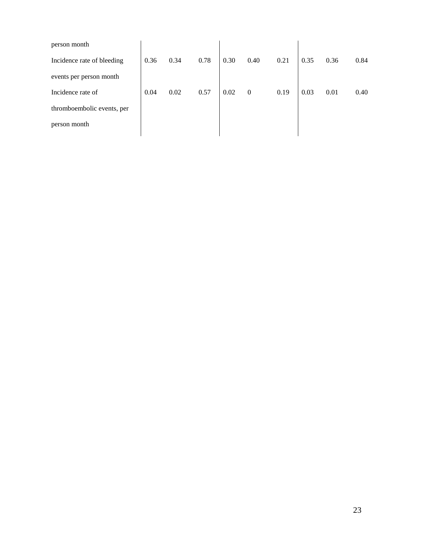| person month               |      |      |      |      |                  |      |      |      |      |
|----------------------------|------|------|------|------|------------------|------|------|------|------|
| Incidence rate of bleeding | 0.36 | 0.34 | 0.78 | 0.30 | 0.40             | 0.21 | 0.35 | 0.36 | 0.84 |
| events per person month    |      |      |      |      |                  |      |      |      |      |
| Incidence rate of          | 0.04 | 0.02 | 0.57 | 0.02 | $\boldsymbol{0}$ | 0.19 | 0.03 | 0.01 | 0.40 |
| thromboembolic events, per |      |      |      |      |                  |      |      |      |      |
| person month               |      |      |      |      |                  |      |      |      |      |
|                            |      |      |      |      |                  |      |      |      |      |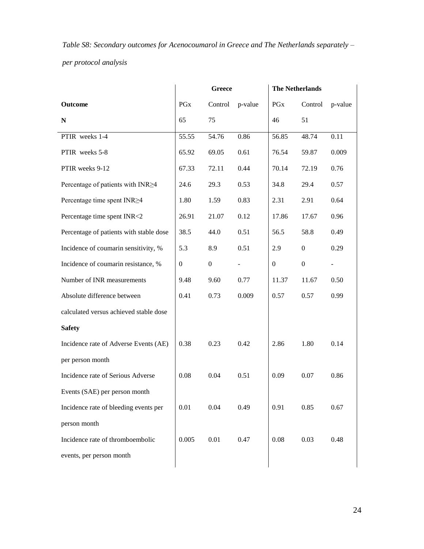<span id="page-24-0"></span>*Table S8: Secondary outcomes for Acenocoumarol in Greece and The Netherlands separately – per protocol analysis*

|                                         | <b>Greece</b>           |                |         | <b>The Netherlands</b> |                  |         |
|-----------------------------------------|-------------------------|----------------|---------|------------------------|------------------|---------|
| Outcome                                 | $\mathop{\mathrm{PGx}}$ | Control        | p-value | PGx                    | Control          | p-value |
| ${\bf N}$                               | 65                      | 75             |         | 46                     | 51               |         |
| PTIR weeks 1-4                          | 55.55                   | 54.76          | 0.86    | 56.85                  | 48.74            | 0.11    |
| PTIR weeks 5-8                          | 65.92                   | 69.05          | 0.61    | 76.54                  | 59.87            | 0.009   |
| PTIR weeks 9-12                         | 67.33                   | 72.11          | 0.44    | 70.14                  | 72.19            | 0.76    |
| Percentage of patients with INR>4       | 24.6                    | 29.3           | 0.53    | 34.8                   | 29.4             | 0.57    |
| Percentage time spent INR≥4             | 1.80                    | 1.59           | 0.83    | 2.31                   | 2.91             | 0.64    |
| Percentage time spent INR<2             | 26.91                   | 21.07          | 0.12    | 17.86                  | 17.67            | 0.96    |
| Percentage of patients with stable dose | 38.5                    | 44.0           | 0.51    | 56.5                   | 58.8             | 0.49    |
| Incidence of coumarin sensitivity, %    | 5.3                     | 8.9            | 0.51    | 2.9                    | $\boldsymbol{0}$ | 0.29    |
| Incidence of coumarin resistance, %     | $\overline{0}$          | $\overline{0}$ |         | $\boldsymbol{0}$       | $\boldsymbol{0}$ |         |
| Number of INR measurements              | 9.48                    | 9.60           | 0.77    | 11.37                  | 11.67            | 0.50    |
| Absolute difference between             | 0.41                    | 0.73           | 0.009   | 0.57                   | 0.57             | 0.99    |
| calculated versus achieved stable dose  |                         |                |         |                        |                  |         |
| <b>Safety</b>                           |                         |                |         |                        |                  |         |
| Incidence rate of Adverse Events (AE)   | 0.38                    | 0.23           | 0.42    | 2.86                   | 1.80             | 0.14    |
| per person month                        |                         |                |         |                        |                  |         |
| Incidence rate of Serious Adverse       | 0.08                    | 0.04           | 0.51    | 0.09                   | 0.07             | 0.86    |
| Events (SAE) per person month           |                         |                |         |                        |                  |         |
| Incidence rate of bleeding events per   | 0.01                    | 0.04           | 0.49    | 0.91                   | 0.85             | 0.67    |
| person month                            |                         |                |         |                        |                  |         |
| Incidence rate of thromboembolic        | 0.005                   | 0.01           | 0.47    | 0.08                   | 0.03             | 0.48    |
| events, per person month                |                         |                |         |                        |                  |         |
|                                         |                         |                |         |                        |                  |         |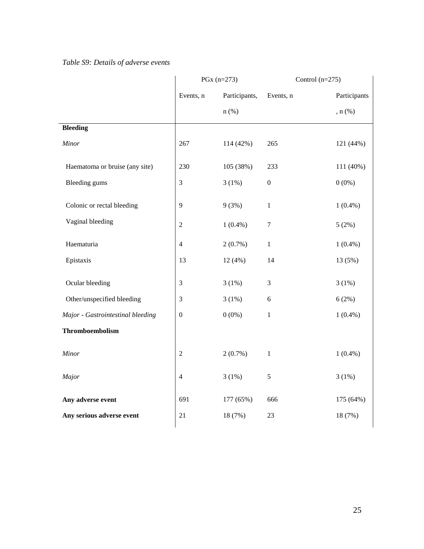<span id="page-25-0"></span>*Table S9: Details of adverse events*

|                                   | $PGx (n=273)$    |               | Control $(n=275)$ |              |
|-----------------------------------|------------------|---------------|-------------------|--------------|
|                                   | Events, n        | Participants, | Events, n         | Participants |
|                                   |                  | $n$ (%)       |                   | $n(\%)$      |
| <b>Bleeding</b>                   |                  |               |                   |              |
| Minor                             | 267              | 114 (42%)     | 265               | 121 (44%)    |
| Haematoma or bruise (any site)    | 230              | 105 (38%)     | 233               | 111 (40%)    |
| <b>Bleeding gums</b>              | 3                | 3(1%)         | $\boldsymbol{0}$  | $0(0\%)$     |
| Colonic or rectal bleeding        | 9                | 9(3%)         | $\mathbf{1}$      | $1(0.4\%)$   |
| Vaginal bleeding                  | $\sqrt{2}$       | $1(0.4\%)$    | $\boldsymbol{7}$  | 5(2%)        |
| Haematuria                        | $\overline{4}$   | $2(0.7\%)$    | $\,1$             | $1(0.4\%)$   |
| Epistaxis                         | 13               | 12(4%)        | 14                | 13 (5%)      |
| Ocular bleeding                   | 3                | 3(1%)         | 3                 | 3(1%)        |
| Other/unspecified bleeding        | $\mathfrak{Z}$   | 3(1%)         | $\sqrt{6}$        | 6(2%)        |
| Major - Gastrointestinal bleeding | $\boldsymbol{0}$ | $0(0\%)$      | $\,1$             | $1(0.4\%)$   |
| Thromboembolism                   |                  |               |                   |              |
| Minor                             | $\sqrt{2}$       | $2(0.7\%)$    | $\mathbf{1}$      | $1(0.4\%)$   |
| Major                             | $\overline{4}$   | 3(1%)         | 5                 | 3(1%)        |
| Any adverse event                 | 691              | 177 (65%)     | 666               | 175 (64%)    |
| Any serious adverse event         | 21               | 18 (7%)       | 23                | 18 (7%)      |